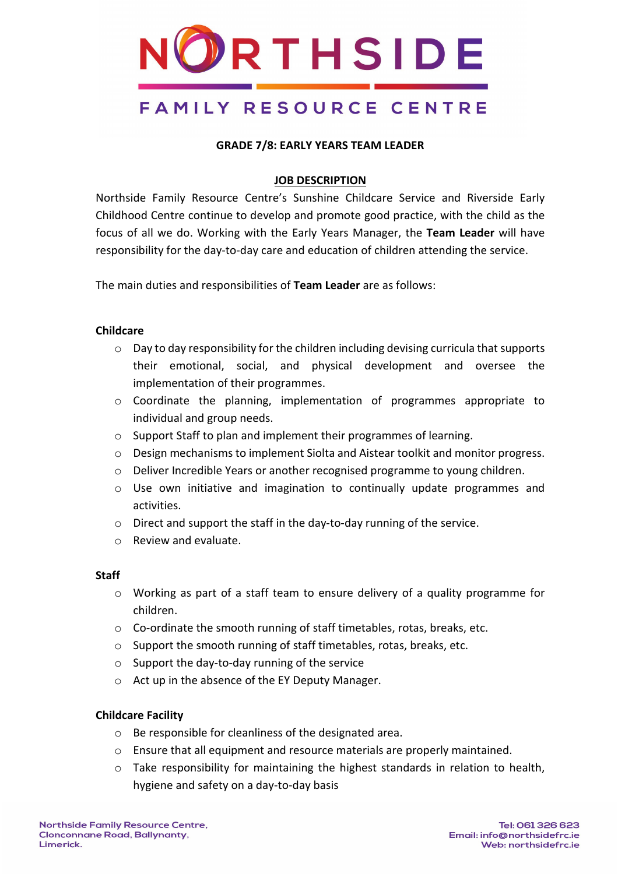

# **GRADE 7/8: EARLY YEARS TEAM LEADER**

# **JOB DESCRIPTION**

Northside Family Resource Centre's Sunshine Childcare Service and Riverside Early Childhood Centre continue to develop and promote good practice, with the child as the focus of all we do. Working with the Early Years Manager, the **Team Leader** will have responsibility for the day-to-day care and education of children attending the service.

The main duties and responsibilities of **Team Leader** are as follows:

# **Childcare**

- $\circ$  Day to day responsibility for the children including devising curricula that supports their emotional, social, and physical development and oversee the implementation of their programmes.
- $\circ$  Coordinate the planning, implementation of programmes appropriate to individual and group needs.
- o Support Staff to plan and implement their programmes of learning.
- $\circ$  Design mechanisms to implement Siolta and Aistear toolkit and monitor progress.
- o Deliver Incredible Years or another recognised programme to young children.
- o Use own initiative and imagination to continually update programmes and activities.
- o Direct and support the staff in the day-to-day running of the service.
- o Review and evaluate.

# **Staff**

- o Working as part of a staff team to ensure delivery of a quality programme for children.
- o Co-ordinate the smooth running of staff timetables, rotas, breaks, etc.
- o Support the smooth running of staff timetables, rotas, breaks, etc.
- o Support the day-to-day running of the service
- o Act up in the absence of the EY Deputy Manager.

# **Childcare Facility**

- o Be responsible for cleanliness of the designated area.
- $\circ$  Ensure that all equipment and resource materials are properly maintained.
- $\circ$  Take responsibility for maintaining the highest standards in relation to health, hygiene and safety on a day-to-day basis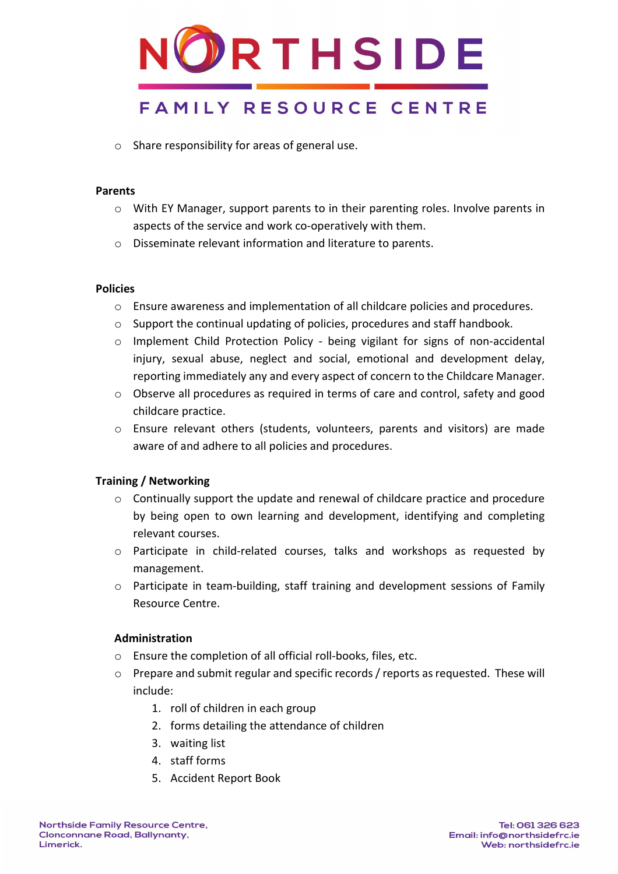

o Share responsibility for areas of general use.

#### **Parents**

- o With EY Manager, support parents to in their parenting roles. Involve parents in aspects of the service and work co-operatively with them.
- o Disseminate relevant information and literature to parents.

#### **Policies**

- $\circ$  Ensure awareness and implementation of all childcare policies and procedures.
- $\circ$  Support the continual updating of policies, procedures and staff handbook.
- o Implement Child Protection Policy being vigilant for signs of non-accidental injury, sexual abuse, neglect and social, emotional and development delay, reporting immediately any and every aspect of concern to the Childcare Manager.
- o Observe all procedures as required in terms of care and control, safety and good childcare practice.
- o Ensure relevant others (students, volunteers, parents and visitors) are made aware of and adhere to all policies and procedures.

# **Training / Networking**

- $\circ$  Continually support the update and renewal of childcare practice and procedure by being open to own learning and development, identifying and completing relevant courses.
- o Participate in child-related courses, talks and workshops as requested by management.
- $\circ$  Participate in team-building, staff training and development sessions of Family Resource Centre.

# **Administration**

- o Ensure the completion of all official roll-books, files, etc.
- $\circ$  Prepare and submit regular and specific records / reports as requested. These will include:
	- 1. roll of children in each group
	- 2. forms detailing the attendance of children
	- 3. waiting list
	- 4. staff forms
	- 5. Accident Report Book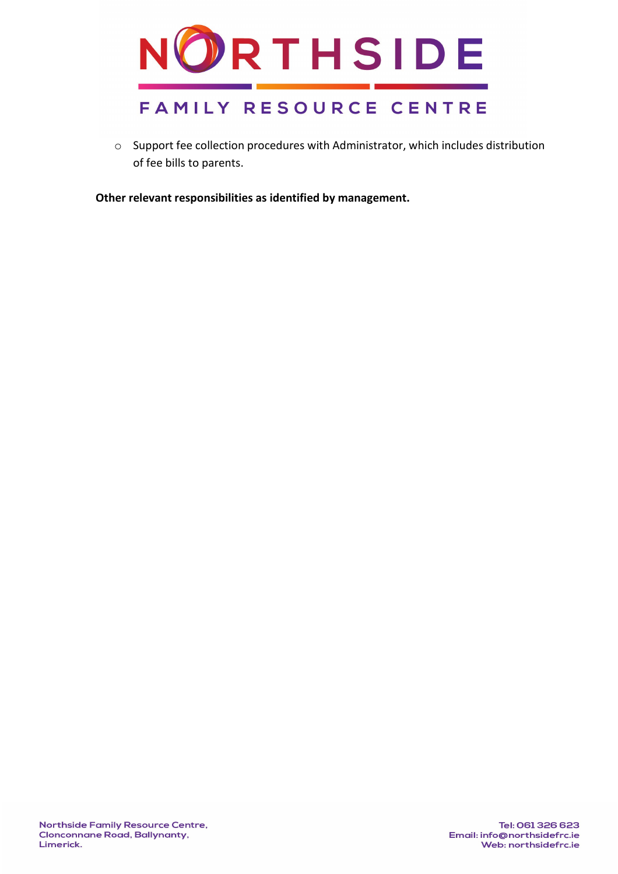

o Support fee collection procedures with Administrator, which includes distribution of fee bills to parents.

**Other relevant responsibilities as identified by management.**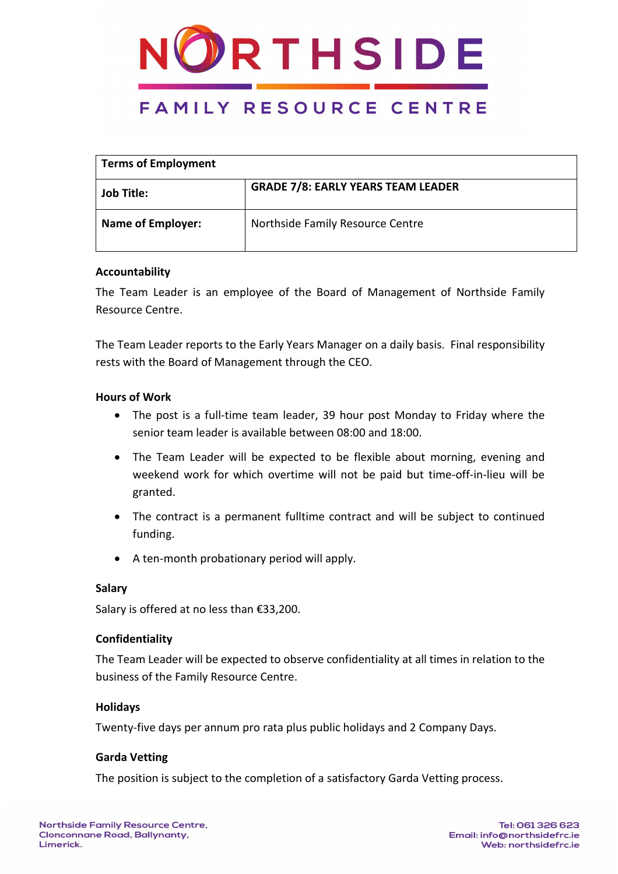

| <b>Terms of Employment</b> |                                           |  |  |  |  |
|----------------------------|-------------------------------------------|--|--|--|--|
| <b>Job Title:</b>          | <b>GRADE 7/8: EARLY YEARS TEAM LEADER</b> |  |  |  |  |
| <b>Name of Employer:</b>   | Northside Family Resource Centre          |  |  |  |  |

# **Accountability**

The Team Leader is an employee of the Board of Management of Northside Family Resource Centre.

The Team Leader reports to the Early Years Manager on a daily basis. Final responsibility rests with the Board of Management through the CEO.

# **Hours of Work**

- The post is a full-time team leader, 39 hour post Monday to Friday where the senior team leader is available between 08:00 and 18:00.
- The Team Leader will be expected to be flexible about morning, evening and weekend work for which overtime will not be paid but time-off-in-lieu will be granted.
- The contract is a permanent fulltime contract and will be subject to continued funding.
- A ten-month probationary period will apply.

# **Salary**

Salary is offered at no less than €33,200.

# **Confidentiality**

The Team Leader will be expected to observe confidentiality at all times in relation to the business of the Family Resource Centre.

# **Holidays**

Twenty-five days per annum pro rata plus public holidays and 2 Company Days.

# **Garda Vetting**

The position is subject to the completion of a satisfactory Garda Vetting process.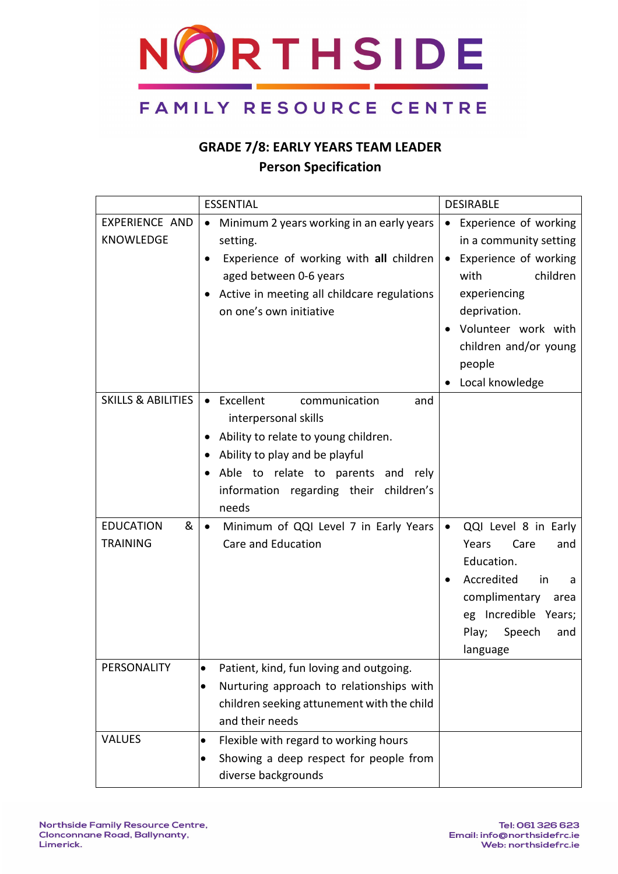

# FAMILY RESOURCE CENTRE

# **GRADE 7/8: EARLY YEARS TEAM LEADER Person Specification**

|                                           | <b>ESSENTIAL</b>                                                                                                                                                                                                                  | <b>DESIRABLE</b>                                                                                                                                                                                                                    |
|-------------------------------------------|-----------------------------------------------------------------------------------------------------------------------------------------------------------------------------------------------------------------------------------|-------------------------------------------------------------------------------------------------------------------------------------------------------------------------------------------------------------------------------------|
| <b>EXPERIENCE AND</b><br><b>KNOWLEDGE</b> | Minimum 2 years working in an early years<br>$\bullet$<br>setting.<br>Experience of working with all children<br>aged between 0-6 years<br>Active in meeting all childcare regulations<br>on one's own initiative                 | Experience of working<br>$\bullet$<br>in a community setting<br>Experience of working<br>$\bullet$<br>children<br>with<br>experiencing<br>deprivation.<br>Volunteer work with<br>children and/or young<br>people<br>Local knowledge |
| <b>SKILLS &amp; ABILITIES</b>             | Excellent<br>communication<br>and<br>interpersonal skills<br>Ability to relate to young children.<br>Ability to play and be playful<br>Able to relate to parents and rely<br>٠<br>information regarding their children's<br>needs |                                                                                                                                                                                                                                     |
| &<br><b>EDUCATION</b><br><b>TRAINING</b>  | Minimum of QQI Level 7 in Early Years<br>Care and Education                                                                                                                                                                       | QQI Level 8 in Early<br>$\bullet$<br>Years<br>Care<br>and<br>Education.<br>Accredited<br>in<br>a<br>complimentary<br>area<br>eg Incredible Years;<br>Play;<br>Speech<br>and<br>language                                             |
| PERSONALITY                               | Patient, kind, fun loving and outgoing.<br>$\bullet$<br>Nurturing approach to relationships with<br>$\bullet$<br>children seeking attunement with the child<br>and their needs                                                    |                                                                                                                                                                                                                                     |
| <b>VALUES</b>                             | Flexible with regard to working hours<br>$\bullet$<br>Showing a deep respect for people from<br>$\bullet$<br>diverse backgrounds                                                                                                  |                                                                                                                                                                                                                                     |